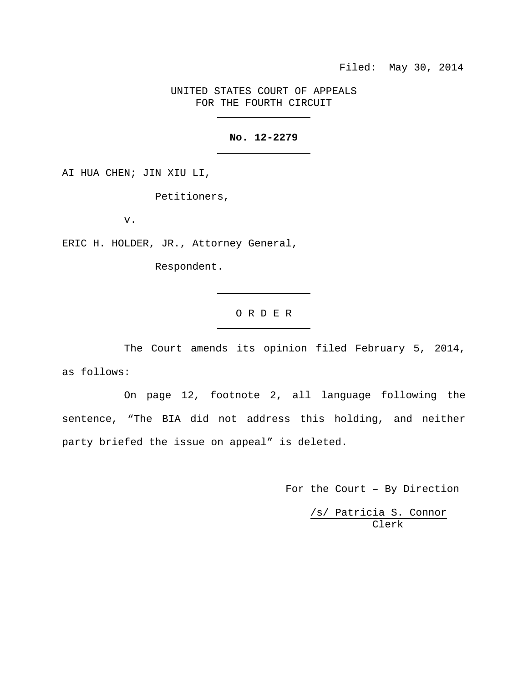UNITED STATES COURT OF APPEALS FOR THE FOURTH CIRCUIT

## **No. 12-2279**

AI HUA CHEN; JIN XIU LI,

Petitioners,

v.

ERIC H. HOLDER, JR., Attorney General,

Respondent.

# O R D E R

The Court amends its opinion filed February 5, 2014, as follows:

On page 12, footnote 2, all language following the sentence, "The BIA did not address this holding, and neither party briefed the issue on appeal" is deleted.

For the Court – By Direction

/s/ Patricia S. Connor Clerk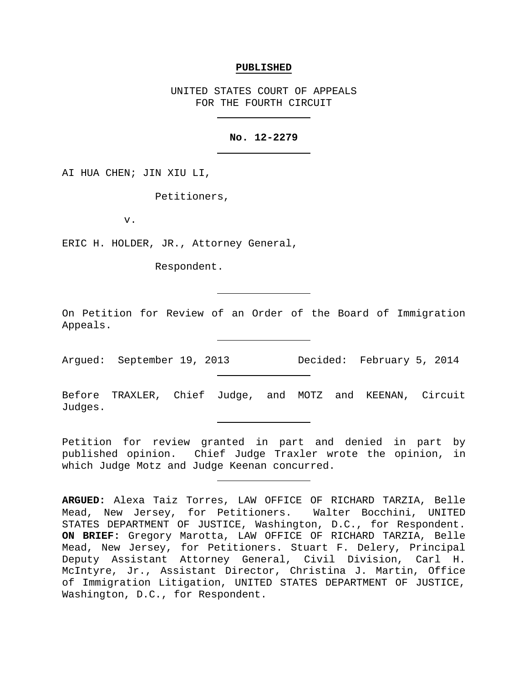#### **PUBLISHED**

UNITED STATES COURT OF APPEALS FOR THE FOURTH CIRCUIT

#### **No. 12-2279**

AI HUA CHEN; JIN XIU LI,

Petitioners,

v.

ERIC H. HOLDER, JR., Attorney General,

Respondent.

On Petition for Review of an Order of the Board of Immigration Appeals.

Argued: September 19, 2013 Decided: February 5, 2014

Before TRAXLER, Chief Judge, and MOTZ and KEENAN, Circuit Judges.

Petition for review granted in part and denied in part by published opinion. Chief Judge Traxler wrote the opinion, in which Judge Motz and Judge Keenan concurred.

**ARGUED:** Alexa Taiz Torres, LAW OFFICE OF RICHARD TARZIA, Belle Mead, New Jersey, for Petitioners. Walter Bocchini, UNITED STATES DEPARTMENT OF JUSTICE, Washington, D.C., for Respondent. **ON BRIEF:** Gregory Marotta, LAW OFFICE OF RICHARD TARZIA, Belle Mead, New Jersey, for Petitioners. Stuart F. Delery, Principal Deputy Assistant Attorney General, Civil Division, Carl H. McIntyre, Jr., Assistant Director, Christina J. Martin, Office of Immigration Litigation, UNITED STATES DEPARTMENT OF JUSTICE, Washington, D.C., for Respondent.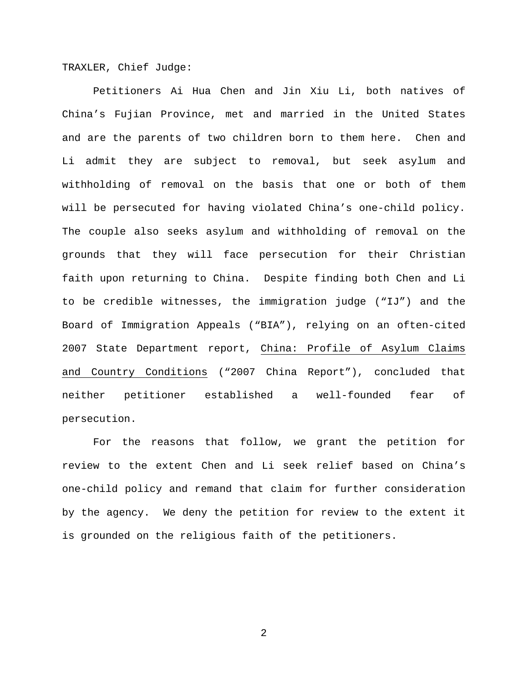TRAXLER, Chief Judge:

Petitioners Ai Hua Chen and Jin Xiu Li, both natives of China's Fujian Province, met and married in the United States and are the parents of two children born to them here. Chen and Li admit they are subject to removal, but seek asylum and withholding of removal on the basis that one or both of them will be persecuted for having violated China's one-child policy. The couple also seeks asylum and withholding of removal on the grounds that they will face persecution for their Christian faith upon returning to China. Despite finding both Chen and Li to be credible witnesses, the immigration judge ("IJ") and the Board of Immigration Appeals ("BIA"), relying on an often-cited 2007 State Department report, China: Profile of Asylum Claims and Country Conditions ("2007 China Report"), concluded that neither petitioner established a well-founded fear of persecution.

For the reasons that follow, we grant the petition for review to the extent Chen and Li seek relief based on China's one-child policy and remand that claim for further consideration by the agency. We deny the petition for review to the extent it is grounded on the religious faith of the petitioners.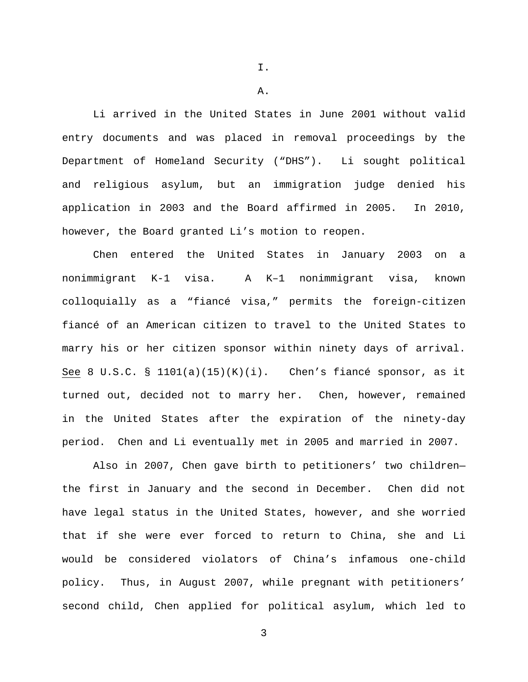I.

A.

Li arrived in the United States in June 2001 without valid entry documents and was placed in removal proceedings by the Department of Homeland Security ("DHS"). Li sought political and religious asylum, but an immigration judge denied his application in 2003 and the Board affirmed in 2005. In 2010, however, the Board granted Li's motion to reopen.

Chen entered the United States in January 2003 on a nonimmigrant K-1 visa. A K–1 nonimmigrant visa, known colloquially as a "fiancé visa," permits the foreign-citizen fiancé of an American citizen to travel to the United States to marry his or her citizen sponsor within ninety days of arrival. See 8 U.S.C. §  $1101(a)(15)(K)(i)$ . Chen's fiancé sponsor, as it turned out, decided not to marry her. Chen, however, remained in the United States after the expiration of the ninety-day period. Chen and Li eventually met in 2005 and married in 2007.

Also in 2007, Chen gave birth to petitioners' two children the first in January and the second in December. Chen did not have legal status in the United States, however, and she worried that if she were ever forced to return to China, she and Li would be considered violators of China's infamous one-child policy. Thus, in August 2007, while pregnant with petitioners' second child, Chen applied for political asylum, which led to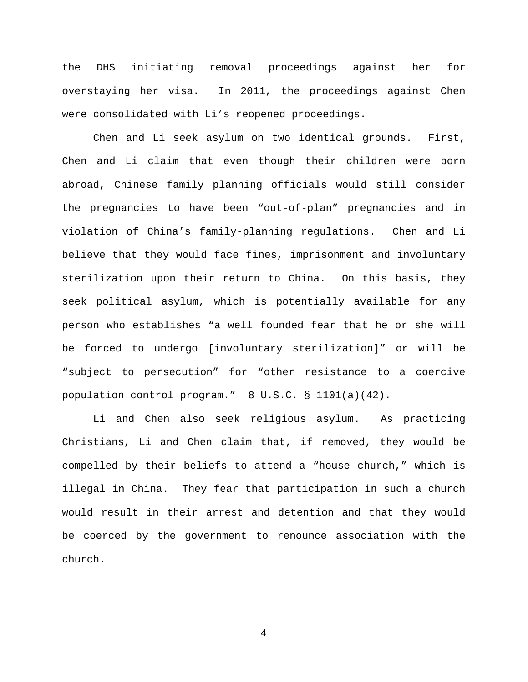the DHS initiating removal proceedings against her for overstaying her visa. In 2011, the proceedings against Chen were consolidated with Li's reopened proceedings.

Chen and Li seek asylum on two identical grounds. First, Chen and Li claim that even though their children were born abroad, Chinese family planning officials would still consider the pregnancies to have been "out-of-plan" pregnancies and in violation of China's family-planning regulations. Chen and Li believe that they would face fines, imprisonment and involuntary sterilization upon their return to China. On this basis, they seek political asylum, which is potentially available for any person who establishes "a well founded fear that he or she will be forced to undergo [involuntary sterilization]" or will be "subject to persecution" for "other resistance to a coercive population control program." 8 U.S.C. § 1101(a)(42).

Li and Chen also seek religious asylum. As practicing Christians, Li and Chen claim that, if removed, they would be compelled by their beliefs to attend a "house church," which is illegal in China. They fear that participation in such a church would result in their arrest and detention and that they would be coerced by the government to renounce association with the church.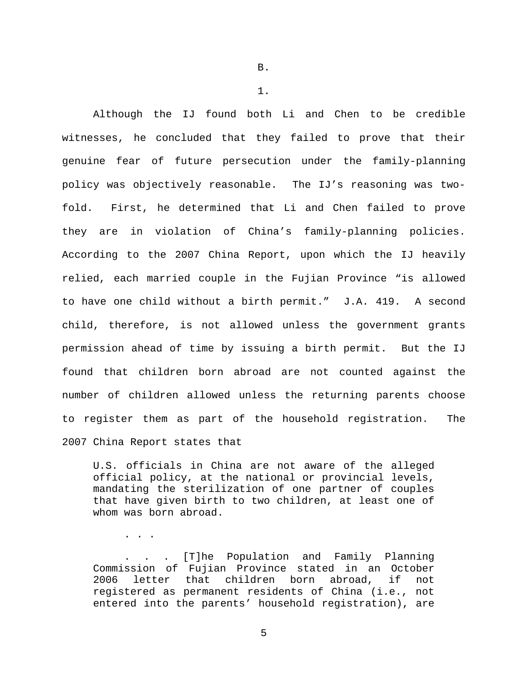B.

1.

Although the IJ found both Li and Chen to be credible witnesses, he concluded that they failed to prove that their genuine fear of future persecution under the family-planning policy was objectively reasonable. The IJ's reasoning was twofold. First, he determined that Li and Chen failed to prove they are in violation of China's family-planning policies. According to the 2007 China Report, upon which the IJ heavily relied, each married couple in the Fujian Province "is allowed to have one child without a birth permit." J.A. 419. A second child, therefore, is not allowed unless the government grants permission ahead of time by issuing a birth permit. But the IJ found that children born abroad are not counted against the number of children allowed unless the returning parents choose to register them as part of the household registration. The 2007 China Report states that

U.S. officials in China are not aware of the alleged official policy, at the national or provincial levels, mandating the sterilization of one partner of couples that have given birth to two children, at least one of whom was born abroad.

. . .

. . . [T]he Population and Family Planning Commission of Fujian Province stated in an October 2006 letter that children born abroad, if not registered as permanent residents of China (i.e., not entered into the parents' household registration), are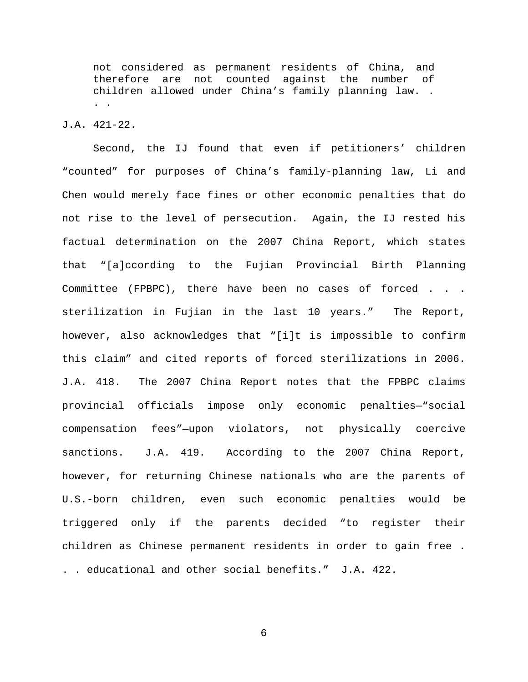not considered as permanent residents of China, and therefore are not counted against the number of children allowed under China's family planning law. . . .

### J.A. 421-22.

Second, the IJ found that even if petitioners' children "counted" for purposes of China's family-planning law, Li and Chen would merely face fines or other economic penalties that do not rise to the level of persecution. Again, the IJ rested his factual determination on the 2007 China Report, which states that "[a]ccording to the Fujian Provincial Birth Planning Committee (FPBPC), there have been no cases of forced . . . sterilization in Fujian in the last 10 years." The Report, however, also acknowledges that "[i]t is impossible to confirm this claim" and cited reports of forced sterilizations in 2006. J.A. 418. The 2007 China Report notes that the FPBPC claims provincial officials impose only economic penalties—"social compensation fees"—upon violators, not physically coercive sanctions. J.A. 419. According to the 2007 China Report, however, for returning Chinese nationals who are the parents of U.S.-born children, even such economic penalties would be triggered only if the parents decided "to register their children as Chinese permanent residents in order to gain free . . . educational and other social benefits." J.A. 422.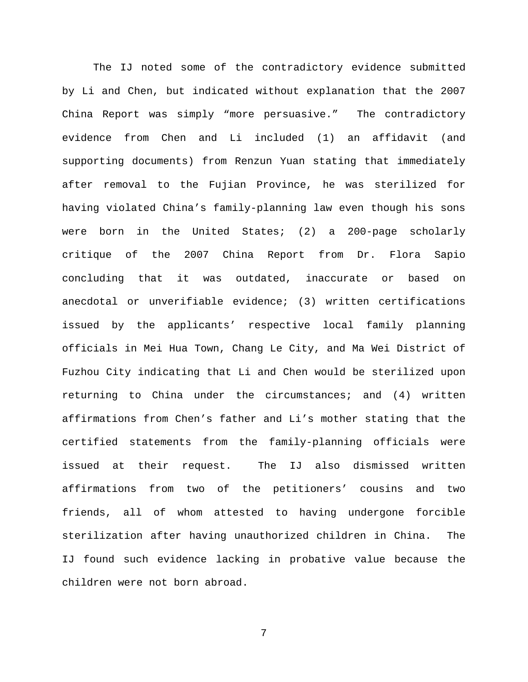The IJ noted some of the contradictory evidence submitted by Li and Chen, but indicated without explanation that the 2007 China Report was simply "more persuasive." The contradictory evidence from Chen and Li included (1) an affidavit (and supporting documents) from Renzun Yuan stating that immediately after removal to the Fujian Province, he was sterilized for having violated China's family-planning law even though his sons were born in the United States; (2) a 200-page scholarly critique of the 2007 China Report from Dr. Flora Sapio concluding that it was outdated, inaccurate or based on anecdotal or unverifiable evidence; (3) written certifications issued by the applicants' respective local family planning officials in Mei Hua Town, Chang Le City, and Ma Wei District of Fuzhou City indicating that Li and Chen would be sterilized upon returning to China under the circumstances; and (4) written affirmations from Chen's father and Li's mother stating that the certified statements from the family-planning officials were issued at their request. The IJ also dismissed written affirmations from two of the petitioners' cousins and two friends, all of whom attested to having undergone forcible sterilization after having unauthorized children in China. The IJ found such evidence lacking in probative value because the children were not born abroad.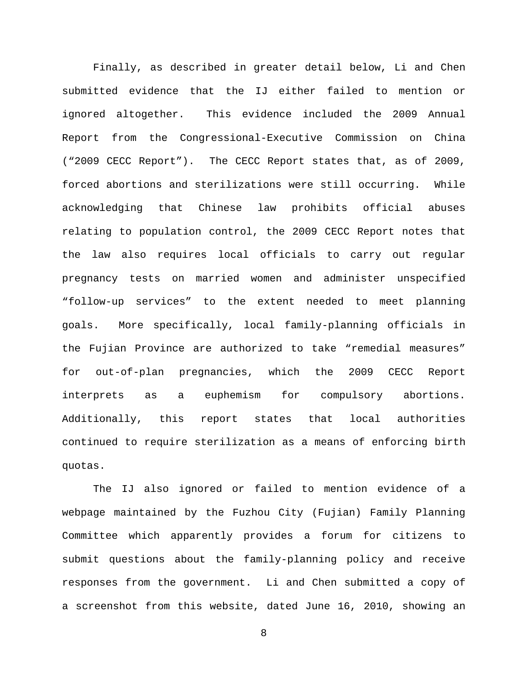Finally, as described in greater detail below, Li and Chen submitted evidence that the IJ either failed to mention or ignored altogether. This evidence included the 2009 Annual Report from the Congressional-Executive Commission on China ("2009 CECC Report"). The CECC Report states that, as of 2009, forced abortions and sterilizations were still occurring. While acknowledging that Chinese law prohibits official abuses relating to population control, the 2009 CECC Report notes that the law also requires local officials to carry out regular pregnancy tests on married women and administer unspecified "follow-up services" to the extent needed to meet planning goals. More specifically, local family-planning officials in the Fujian Province are authorized to take "remedial measures" for out-of-plan pregnancies, which the 2009 CECC Report interprets as a euphemism for compulsory abortions. Additionally, this report states that local authorities continued to require sterilization as a means of enforcing birth quotas.

The IJ also ignored or failed to mention evidence of a webpage maintained by the Fuzhou City (Fujian) Family Planning Committee which apparently provides a forum for citizens to submit questions about the family-planning policy and receive responses from the government. Li and Chen submitted a copy of a screenshot from this website, dated June 16, 2010, showing an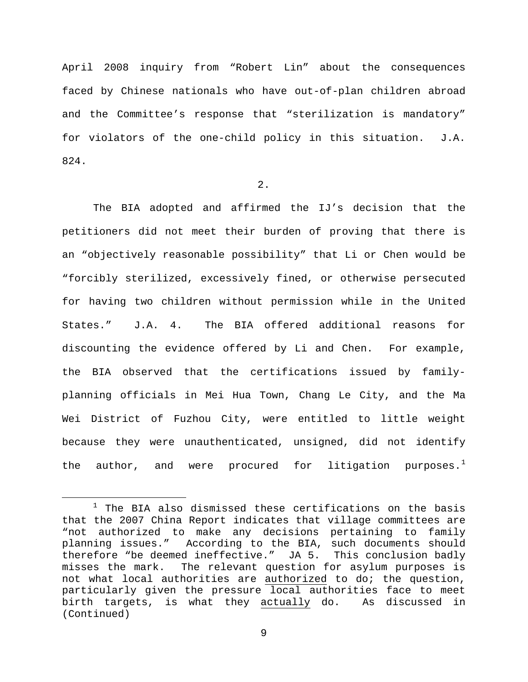April 2008 inquiry from "Robert Lin" about the consequences faced by Chinese nationals who have out-of-plan children abroad and the Committee's response that "sterilization is mandatory" for violators of the one-child policy in this situation. J.A. 824.

### 2.

The BIA adopted and affirmed the IJ's decision that the petitioners did not meet their burden of proving that there is an "objectively reasonable possibility" that Li or Chen would be "forcibly sterilized, excessively fined, or otherwise persecuted for having two children without permission while in the United States." J.A. 4. The BIA offered additional reasons for discounting the evidence offered by Li and Chen. For example, the BIA observed that the certifications issued by familyplanning officials in Mei Hua Town, Chang Le City, and the Ma Wei District of Fuzhou City, were entitled to little weight because they were unauthenticated, unsigned, did not identify the author, and were procured for litigation purposes.<sup>[1](#page-9-0)</sup>

<span id="page-9-0"></span> $1$  The BIA also dismissed these certifications on the basis that the 2007 China Report indicates that village committees are "not authorized to make any decisions pertaining to family planning issues." According to the BIA, such documents should therefore "be deemed ineffective." JA 5. This conclusion badly<br>misses the mark. The relevant question for asylum purposes is The relevant question for asylum purposes is not what local authorities are authorized to do; the question, particularly given the pressure local authorities face to meet birth targets, is what they actually do. As discussed in (Continued)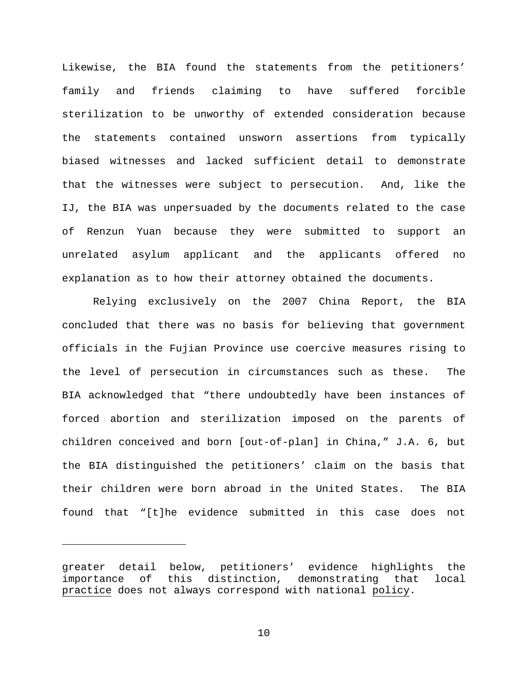Likewise, the BIA found the statements from the petitioners' family and friends claiming to have suffered forcible sterilization to be unworthy of extended consideration because the statements contained unsworn assertions from typically biased witnesses and lacked sufficient detail to demonstrate that the witnesses were subject to persecution. And, like the IJ, the BIA was unpersuaded by the documents related to the case of Renzun Yuan because they were submitted to support an unrelated asylum applicant and the applicants offered no explanation as to how their attorney obtained the documents.

Relying exclusively on the 2007 China Report, the BIA concluded that there was no basis for believing that government officials in the Fujian Province use coercive measures rising to the level of persecution in circumstances such as these. The BIA acknowledged that "there undoubtedly have been instances of forced abortion and sterilization imposed on the parents of children conceived and born [out-of-plan] in China," J.A. 6, but the BIA distinguished the petitioners' claim on the basis that their children were born abroad in the United States. The BIA found that "[t]he evidence submitted in this case does not

ī

greater detail below, petitioners' evidence highlights the importance of this distinction, demonstrating that local practice does not always correspond with national policy.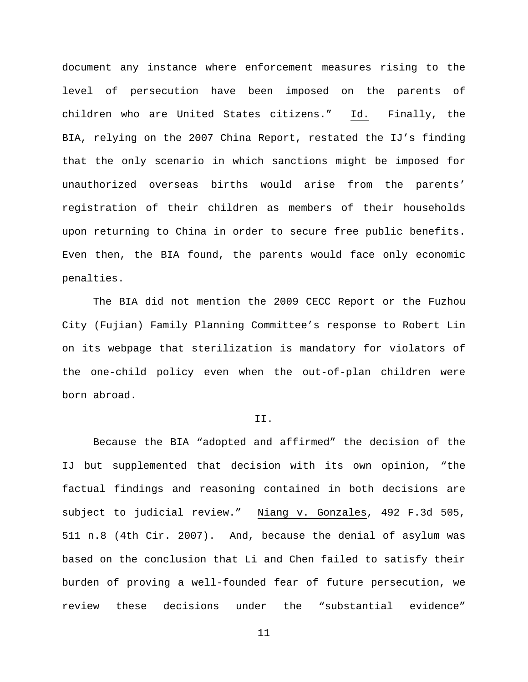document any instance where enforcement measures rising to the level of persecution have been imposed on the parents of children who are United States citizens." Id. Finally, the BIA, relying on the 2007 China Report, restated the IJ's finding that the only scenario in which sanctions might be imposed for unauthorized overseas births would arise from the parents' registration of their children as members of their households upon returning to China in order to secure free public benefits. Even then, the BIA found, the parents would face only economic penalties.

The BIA did not mention the 2009 CECC Report or the Fuzhou City (Fujian) Family Planning Committee's response to Robert Lin on its webpage that sterilization is mandatory for violators of the one-child policy even when the out-of-plan children were born abroad.

#### II.

Because the BIA "adopted and affirmed" the decision of the IJ but supplemented that decision with its own opinion, "the factual findings and reasoning contained in both decisions are subject to judicial review." Niang v. Gonzales, 492 F.3d 505, 511 n.8 (4th Cir. 2007). And, because the denial of asylum was based on the conclusion that Li and Chen failed to satisfy their burden of proving a well-founded fear of future persecution, we review these decisions under the "substantial evidence"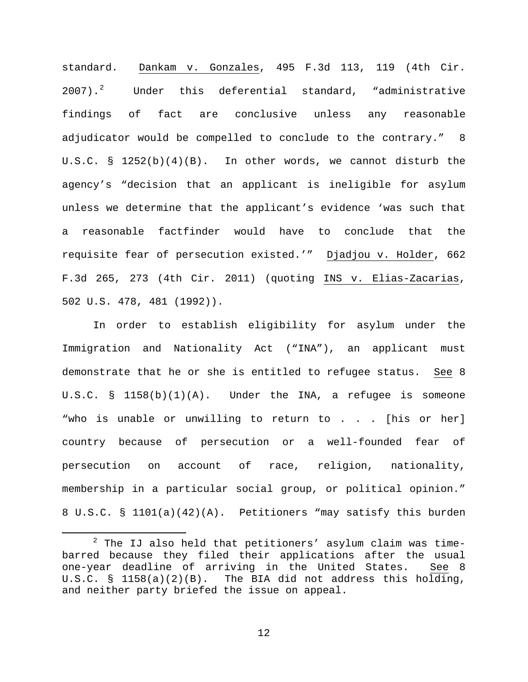standard. Dankam v. Gonzales, 495 F.3d 113, 119 (4th Cir.  $2007$  $2007$ ).<sup>2</sup> Under this deferential standard, "administrative findings of fact are conclusive unless any reasonable adjudicator would be compelled to conclude to the contrary." 8 U.S.C. §  $1252(b)(4)(B)$ . In other words, we cannot disturb the agency's "decision that an applicant is ineligible for asylum unless we determine that the applicant's evidence 'was such that a reasonable factfinder would have to conclude that the requisite fear of persecution existed.'" Djadjou v. Holder, 662 F.3d 265, 273 (4th Cir. 2011) (quoting INS v. Elias-Zacarias, 502 U.S. 478, 481 (1992)).

In order to establish eligibility for asylum under the Immigration and Nationality Act ("INA"), an applicant must demonstrate that he or she is entitled to refugee status. See 8 U.S.C. §  $1158(b)(1)(A)$ . Under the INA, a refugee is someone "who is unable or unwilling to return to . . . [his or her] country because of persecution or a well-founded fear of persecution on account of race, religion, nationality, membership in a particular social group, or political opinion." 8 U.S.C. § 1101(a)(42)(A). Petitioners "may satisfy this burden

<span id="page-12-0"></span> $2$  The IJ also held that petitioners' asylum claim was timebarred because they filed their applications after the usual<br>one-year deadline of arriving in the United States. See 8 one-year deadline of arriving in the United States. U.S.C. § 1158(a)(2)(B). The BIA did not address this holding, and neither party briefed the issue on appeal.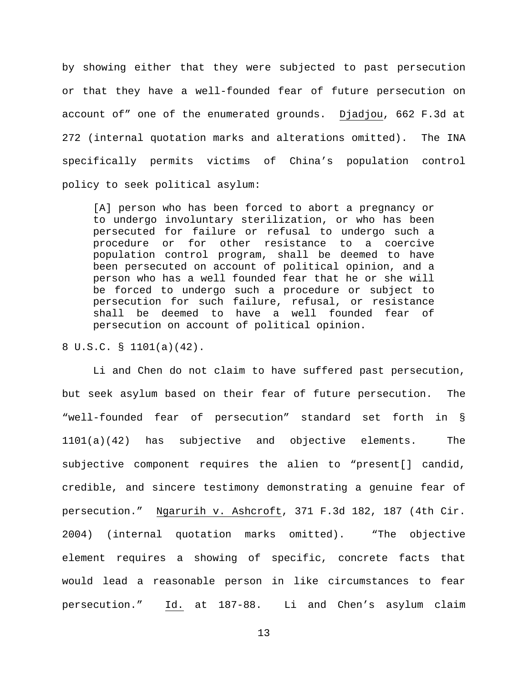by showing either that they were subjected to past persecution or that they have a well-founded fear of future persecution on account of" one of the enumerated grounds. Djadjou, 662 F.3d at 272 (internal quotation marks and alterations omitted). The INA specifically permits victims of China's population control policy to seek political asylum:

[A] person who has been forced to abort a pregnancy or to undergo involuntary sterilization, or who has been persecuted for failure or refusal to undergo such a procedure or for other resistance to a coercive population control program, shall be deemed to have been persecuted on account of political opinion, and a person who has a well founded fear that he or she will be forced to undergo such a procedure or subject to persecution for such failure, refusal, or resistance shall be deemed to have a well founded fear of persecution on account of political opinion.

### 8 U.S.C. § 1101(a)(42).

Li and Chen do not claim to have suffered past persecution, but seek asylum based on their fear of future persecution. The "well-founded fear of persecution" standard set forth in § 1101(a)(42) has subjective and objective elements. The subjective component requires the alien to "present[] candid, credible, and sincere testimony demonstrating a genuine fear of persecution." Ngarurih v. Ashcroft, 371 F.3d 182, 187 (4th Cir. 2004) (internal quotation marks omitted). "The objective element requires a showing of specific, concrete facts that would lead a reasonable person in like circumstances to fear persecution." Id. at 187-88. Li and Chen's asylum claim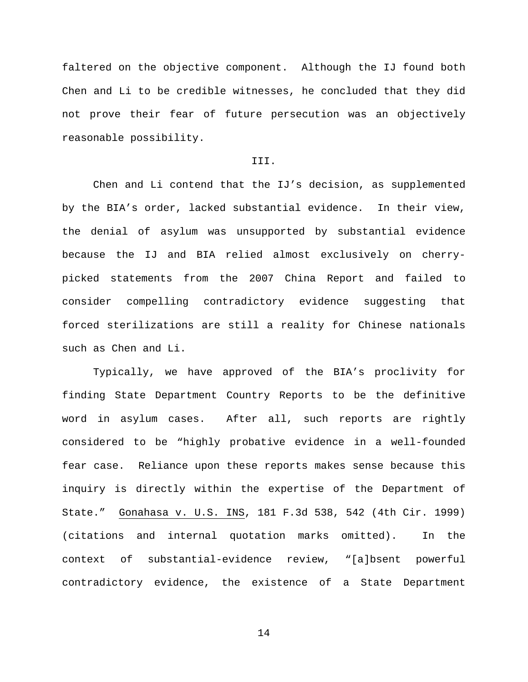faltered on the objective component. Although the IJ found both Chen and Li to be credible witnesses, he concluded that they did not prove their fear of future persecution was an objectively reasonable possibility.

### III.

Chen and Li contend that the IJ's decision, as supplemented by the BIA's order, lacked substantial evidence. In their view, the denial of asylum was unsupported by substantial evidence because the IJ and BIA relied almost exclusively on cherrypicked statements from the 2007 China Report and failed to consider compelling contradictory evidence suggesting that forced sterilizations are still a reality for Chinese nationals such as Chen and Li.

Typically, we have approved of the BIA's proclivity for finding State Department Country Reports to be the definitive word in asylum cases. After all, such reports are rightly considered to be "highly probative evidence in a well-founded fear case. Reliance upon these reports makes sense because this inquiry is directly within the expertise of the Department of State." Gonahasa v. U.S. INS, 181 F.3d 538, 542 (4th Cir. 1999) (citations and internal quotation marks omitted). In the context of substantial-evidence review, "[a]bsent powerful contradictory evidence, the existence of a State Department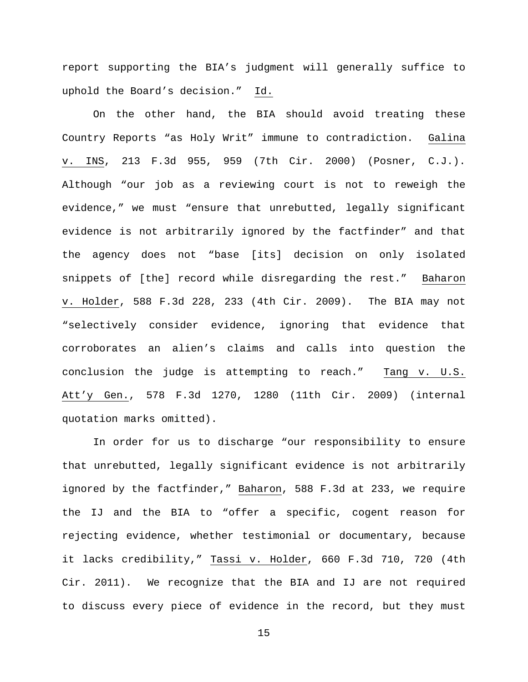report supporting the BIA's judgment will generally suffice to uphold the Board's decision." Id.

On the other hand, the BIA should avoid treating these Country Reports "as Holy Writ" immune to contradiction. Galina v. INS, 213 F.3d 955, 959 (7th Cir. 2000) (Posner, C.J.). Although "our job as a reviewing court is not to reweigh the evidence," we must "ensure that unrebutted, legally significant evidence is not arbitrarily ignored by the factfinder" and that the agency does not "base [its] decision on only isolated snippets of [the] record while disregarding the rest." Baharon v. Holder, 588 F.3d 228, 233 (4th Cir. 2009). The BIA may not "selectively consider evidence, ignoring that evidence that corroborates an alien's claims and calls into question the conclusion the judge is attempting to reach." Tang v. U.S. Att'y Gen., 578 F.3d 1270, 1280 (11th Cir. 2009) (internal quotation marks omitted).

In order for us to discharge "our responsibility to ensure that unrebutted, legally significant evidence is not arbitrarily ignored by the factfinder," Baharon, 588 F.3d at 233, we require the IJ and the BIA to "offer a specific, cogent reason for rejecting evidence, whether testimonial or documentary, because it lacks credibility," Tassi v. Holder, 660 F.3d 710, 720 (4th Cir. 2011). We recognize that the BIA and IJ are not required to discuss every piece of evidence in the record, but they must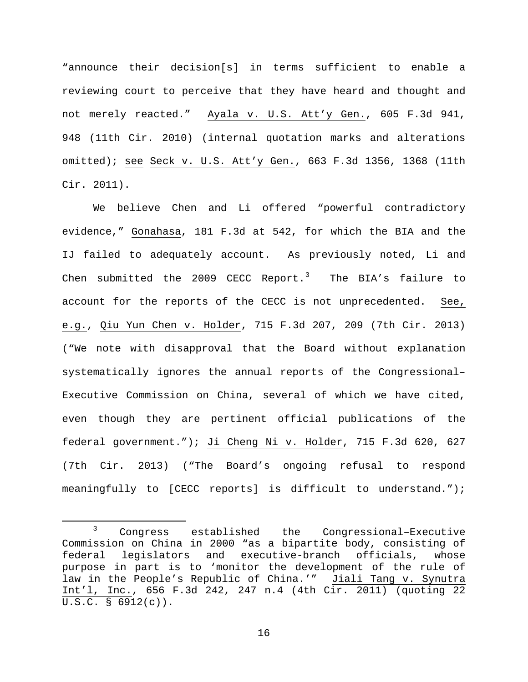"announce their decision[s] in terms sufficient to enable a reviewing court to perceive that they have heard and thought and not merely reacted." Ayala v. U.S. Att'y Gen., 605 F.3d 941, 948 (11th Cir. 2010) (internal quotation marks and alterations omitted); see Seck v. U.S. Att'y Gen., 663 F.3d 1356, 1368 (11th Cir. 2011).

We believe Chen and Li offered "powerful contradictory evidence," Gonahasa, 181 F.3d at 542, for which the BIA and the IJ failed to adequately account. As previously noted, Li and Chen submitted the 2009 CECC Report. $^3$  $^3$  The BIA's failure to account for the reports of the CECC is not unprecedented. See, e.g., Qiu Yun Chen v. Holder, 715 F.3d 207, 209 (7th Cir. 2013) ("We note with disapproval that the Board without explanation systematically ignores the annual reports of the Congressional– Executive Commission on China, several of which we have cited, even though they are pertinent official publications of the federal government."); Ji Cheng Ni v. Holder, 715 F.3d 620, 627 (7th Cir. 2013) ("The Board's ongoing refusal to respond meaningfully to [CECC reports] is difficult to understand.");

<span id="page-16-0"></span> <sup>3</sup> Congress established the Congressional–Executive Commission on China in 2000 "as a bipartite body, consisting of federal legislators and executive-branch officials, whose purpose in part is to 'monitor the development of the rule of law in the People's Republic of China.'" Jiali Tang v. Synutra Int'l, Inc., 656 F.3d 242, 247 n.4 (4th Cir. 2011) (quoting 22 U.S.C. § 6912(c)).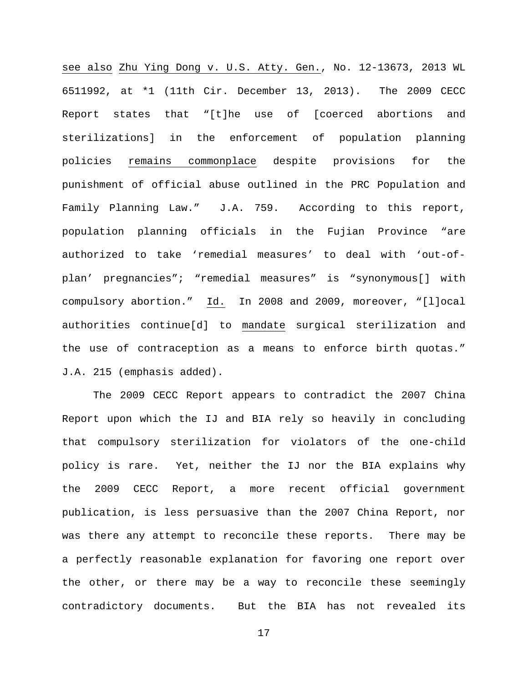see also Zhu Ying Dong v. U.S. Atty. Gen., No. 12-13673, 2013 WL 6511992, at \*1 (11th Cir. December 13, 2013). The 2009 CECC Report states that "[t]he use of [coerced abortions and sterilizations] in the enforcement of population planning policies remains commonplace despite provisions for the punishment of official abuse outlined in the PRC Population and Family Planning Law." J.A. 759. According to this report, population planning officials in the Fujian Province "are authorized to take 'remedial measures' to deal with 'out-ofplan' pregnancies"; "remedial measures" is "synonymous[] with compulsory abortion." Id. In 2008 and 2009, moreover, "[l]ocal authorities continue[d] to mandate surgical sterilization and the use of contraception as a means to enforce birth quotas." J.A. 215 (emphasis added).

The 2009 CECC Report appears to contradict the 2007 China Report upon which the IJ and BIA rely so heavily in concluding that compulsory sterilization for violators of the one-child policy is rare. Yet, neither the IJ nor the BIA explains why the 2009 CECC Report, a more recent official government publication, is less persuasive than the 2007 China Report, nor was there any attempt to reconcile these reports. There may be a perfectly reasonable explanation for favoring one report over the other, or there may be a way to reconcile these seemingly contradictory documents. But the BIA has not revealed its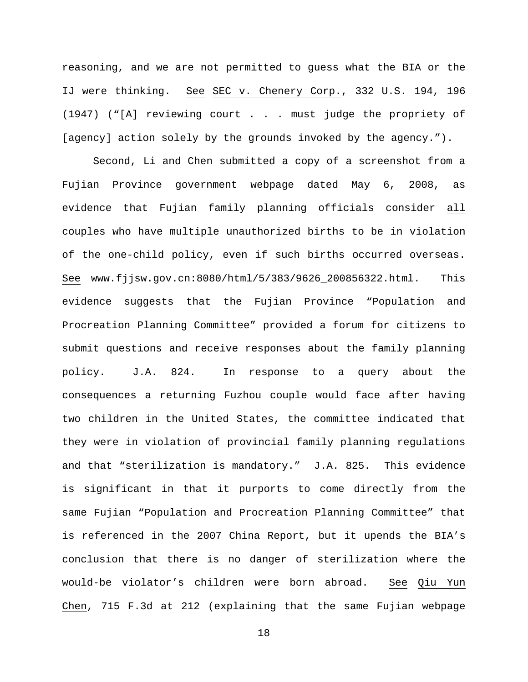reasoning, and we are not permitted to guess what the BIA or the IJ were thinking. See SEC v. Chenery Corp., 332 U.S. 194, 196 (1947) ("[A] reviewing court . . . must judge the propriety of [agency] action solely by the grounds invoked by the agency.").

Second, Li and Chen submitted a copy of a screenshot from a Fujian Province government webpage dated May 6, 2008, as evidence that Fujian family planning officials consider all couples who have multiple unauthorized births to be in violation of the one-child policy, even if such births occurred overseas. See www.fjjsw.gov.cn:8080/html/5/383/9626\_200856322.html. This evidence suggests that the Fujian Province "Population and Procreation Planning Committee" provided a forum for citizens to submit questions and receive responses about the family planning policy. J.A. 824. In response to a query about the consequences a returning Fuzhou couple would face after having two children in the United States, the committee indicated that they were in violation of provincial family planning regulations and that "sterilization is mandatory." J.A. 825. This evidence is significant in that it purports to come directly from the same Fujian "Population and Procreation Planning Committee" that is referenced in the 2007 China Report, but it upends the BIA's conclusion that there is no danger of sterilization where the would-be violator's children were born abroad. See Qiu Yun Chen, 715 F.3d at 212 (explaining that the same Fujian webpage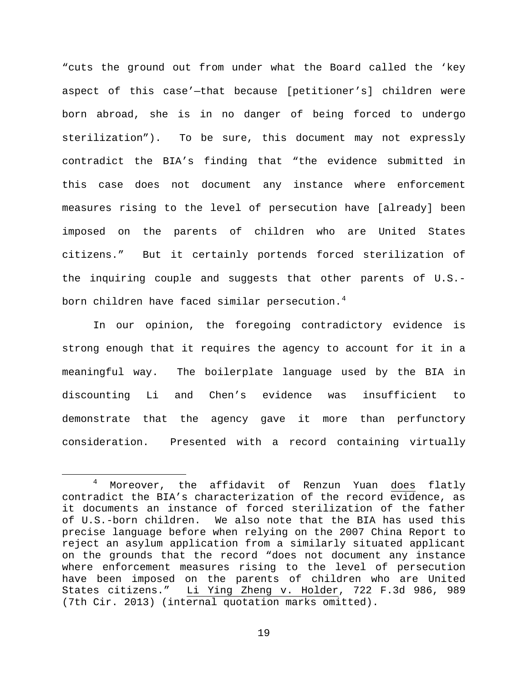"cuts the ground out from under what the Board called the 'key aspect of this case'—that because [petitioner's] children were born abroad, she is in no danger of being forced to undergo sterilization"). To be sure, this document may not expressly contradict the BIA's finding that "the evidence submitted in this case does not document any instance where enforcement measures rising to the level of persecution have [already] been imposed on the parents of children who are United States citizens." But it certainly portends forced sterilization of the inquiring couple and suggests that other parents of U.S.- born children have faced similar persecution.<sup>[4](#page-19-0)</sup>

In our opinion, the foregoing contradictory evidence is strong enough that it requires the agency to account for it in a meaningful way. The boilerplate language used by the BIA in discounting Li and Chen's evidence was insufficient to demonstrate that the agency gave it more than perfunctory consideration. Presented with a record containing virtually

<span id="page-19-0"></span> <sup>4</sup> Moreover, the affidavit of Renzun Yuan does flatly contradict the BIA's characterization of the record evidence, as it documents an instance of forced sterilization of the father of U.S.-born children. We also note that the BIA has used this precise language before when relying on the 2007 China Report to reject an asylum application from a similarly situated applicant on the grounds that the record "does not document any instance where enforcement measures rising to the level of persecution have been imposed on the parents of children who are United States citizens." Li Ying Zheng v. Holder, 722 F.3d 986, 989 (7th Cir. 2013) (internal quotation marks omitted).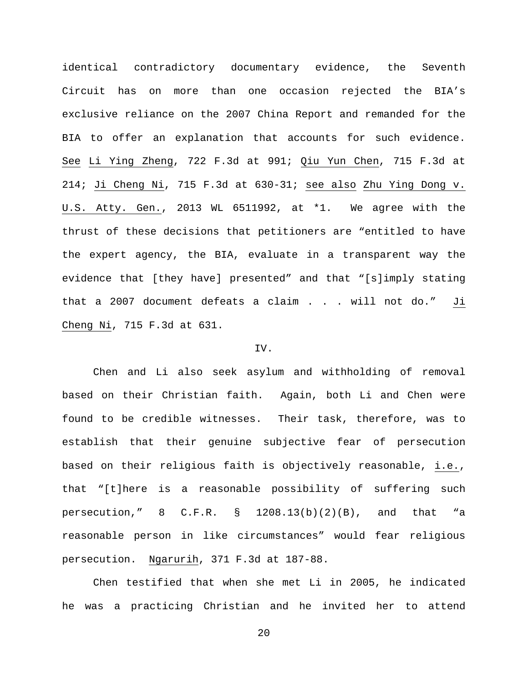identical contradictory documentary evidence, the Seventh Circuit has on more than one occasion rejected the BIA's exclusive reliance on the 2007 China Report and remanded for the BIA to offer an explanation that accounts for such evidence. See Li Ying Zheng, 722 F.3d at 991; Qiu Yun Chen, 715 F.3d at 214; Ji Cheng Ni, 715 F.3d at 630-31; see also Zhu Ying Dong v. U.S. Atty. Gen., 2013 WL 6511992, at \*1. We agree with the thrust of these decisions that petitioners are "entitled to have the expert agency, the BIA, evaluate in a transparent way the evidence that [they have] presented" and that "[s]imply stating that a 2007 document defeats a claim . . . will not do." Ji Cheng Ni, 715 F.3d at 631.

### IV.

Chen and Li also seek asylum and withholding of removal based on their Christian faith. Again, both Li and Chen were found to be credible witnesses. Their task, therefore, was to establish that their genuine subjective fear of persecution based on their religious faith is objectively reasonable, i.e., that "[t]here is a reasonable possibility of suffering such persecution,"  $8$  C.F.R.  $\S$  1208.13(b)(2)(B), and that "a reasonable person in like circumstances" would fear religious persecution. Ngarurih, 371 F.3d at 187-88.

Chen testified that when she met Li in 2005, he indicated he was a practicing Christian and he invited her to attend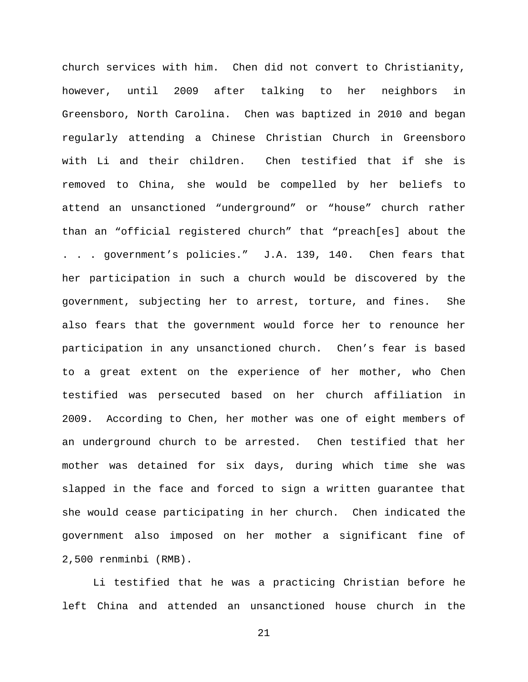church services with him. Chen did not convert to Christianity, however, until 2009 after talking to her neighbors in Greensboro, North Carolina. Chen was baptized in 2010 and began regularly attending a Chinese Christian Church in Greensboro with Li and their children. Chen testified that if she is removed to China, she would be compelled by her beliefs to attend an unsanctioned "underground" or "house" church rather than an "official registered church" that "preach[es] about the . . . government's policies." J.A. 139, 140. Chen fears that her participation in such a church would be discovered by the government, subjecting her to arrest, torture, and fines. She also fears that the government would force her to renounce her participation in any unsanctioned church. Chen's fear is based to a great extent on the experience of her mother, who Chen testified was persecuted based on her church affiliation in 2009. According to Chen, her mother was one of eight members of an underground church to be arrested. Chen testified that her mother was detained for six days, during which time she was slapped in the face and forced to sign a written guarantee that she would cease participating in her church. Chen indicated the government also imposed on her mother a significant fine of 2,500 renminbi (RMB).

Li testified that he was a practicing Christian before he left China and attended an unsanctioned house church in the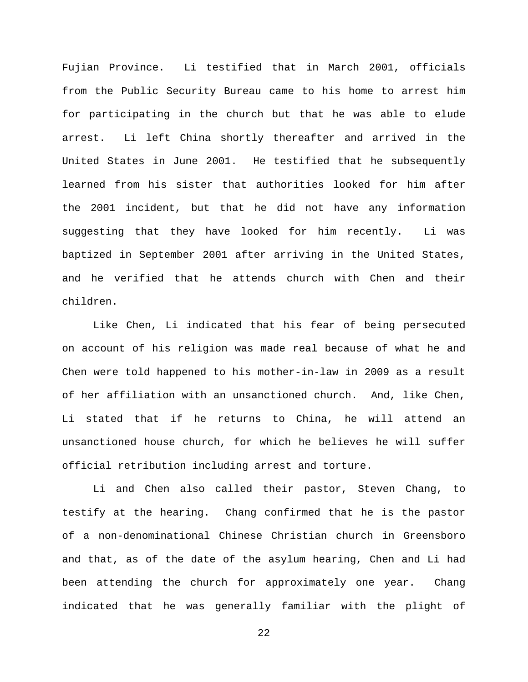Fujian Province. Li testified that in March 2001, officials from the Public Security Bureau came to his home to arrest him for participating in the church but that he was able to elude arrest. Li left China shortly thereafter and arrived in the United States in June 2001. He testified that he subsequently learned from his sister that authorities looked for him after the 2001 incident, but that he did not have any information suggesting that they have looked for him recently. Li was baptized in September 2001 after arriving in the United States, and he verified that he attends church with Chen and their children.

Like Chen, Li indicated that his fear of being persecuted on account of his religion was made real because of what he and Chen were told happened to his mother-in-law in 2009 as a result of her affiliation with an unsanctioned church. And, like Chen, Li stated that if he returns to China, he will attend an unsanctioned house church, for which he believes he will suffer official retribution including arrest and torture.

Li and Chen also called their pastor, Steven Chang, to testify at the hearing. Chang confirmed that he is the pastor of a non-denominational Chinese Christian church in Greensboro and that, as of the date of the asylum hearing, Chen and Li had been attending the church for approximately one year. Chang indicated that he was generally familiar with the plight of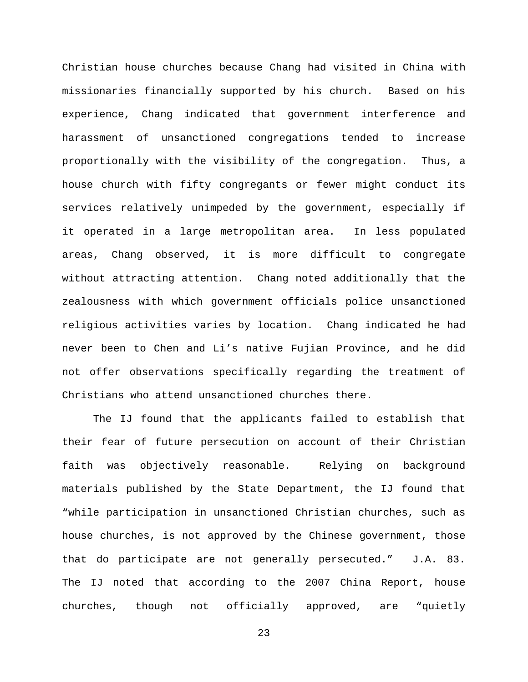Christian house churches because Chang had visited in China with missionaries financially supported by his church. Based on his experience, Chang indicated that government interference and harassment of unsanctioned congregations tended to increase proportionally with the visibility of the congregation. Thus, a house church with fifty congregants or fewer might conduct its services relatively unimpeded by the government, especially if it operated in a large metropolitan area. In less populated areas, Chang observed, it is more difficult to congregate without attracting attention. Chang noted additionally that the zealousness with which government officials police unsanctioned religious activities varies by location. Chang indicated he had never been to Chen and Li's native Fujian Province, and he did not offer observations specifically regarding the treatment of Christians who attend unsanctioned churches there.

The IJ found that the applicants failed to establish that their fear of future persecution on account of their Christian faith was objectively reasonable. Relying on background materials published by the State Department, the IJ found that "while participation in unsanctioned Christian churches, such as house churches, is not approved by the Chinese government, those that do participate are not generally persecuted." J.A. 83. The IJ noted that according to the 2007 China Report, house churches, though not officially approved, are "quietly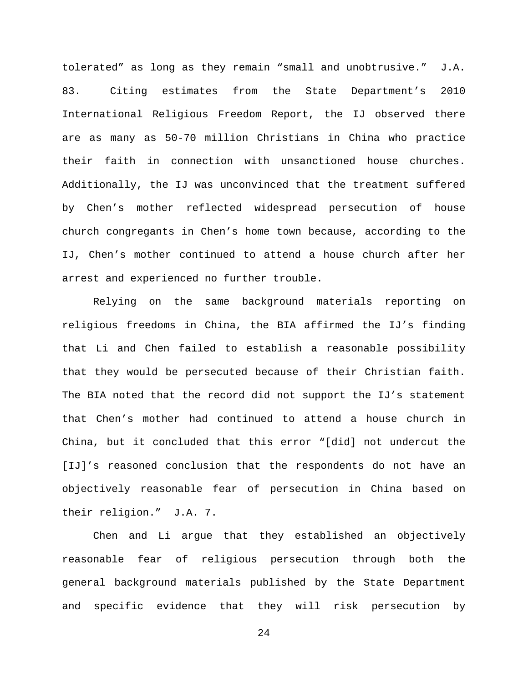tolerated" as long as they remain "small and unobtrusive." J.A. 83. Citing estimates from the State Department's 2010 International Religious Freedom Report, the IJ observed there are as many as 50-70 million Christians in China who practice their faith in connection with unsanctioned house churches. Additionally, the IJ was unconvinced that the treatment suffered by Chen's mother reflected widespread persecution of house church congregants in Chen's home town because, according to the IJ, Chen's mother continued to attend a house church after her arrest and experienced no further trouble.

Relying on the same background materials reporting on religious freedoms in China, the BIA affirmed the IJ's finding that Li and Chen failed to establish a reasonable possibility that they would be persecuted because of their Christian faith. The BIA noted that the record did not support the IJ's statement that Chen's mother had continued to attend a house church in China, but it concluded that this error "[did] not undercut the [IJ]'s reasoned conclusion that the respondents do not have an objectively reasonable fear of persecution in China based on their religion." J.A. 7.

Chen and Li argue that they established an objectively reasonable fear of religious persecution through both the general background materials published by the State Department and specific evidence that they will risk persecution by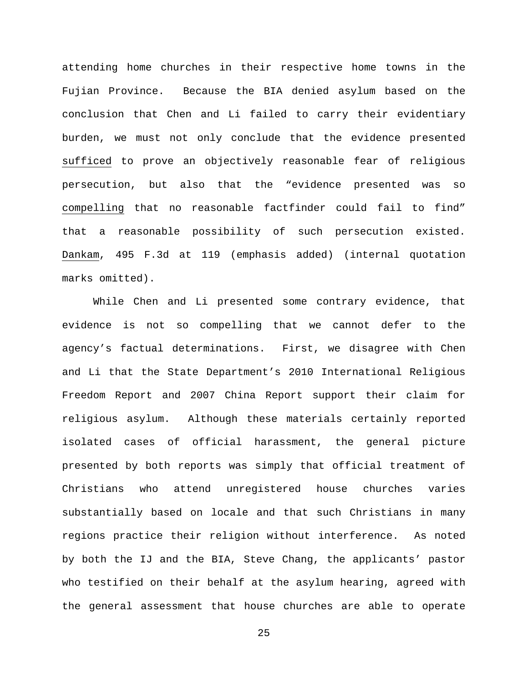attending home churches in their respective home towns in the Fujian Province. Because the BIA denied asylum based on the conclusion that Chen and Li failed to carry their evidentiary burden, we must not only conclude that the evidence presented sufficed to prove an objectively reasonable fear of religious persecution, but also that the "evidence presented was so compelling that no reasonable factfinder could fail to find" that a reasonable possibility of such persecution existed. Dankam, 495 F.3d at 119 (emphasis added) (internal quotation marks omitted).

While Chen and Li presented some contrary evidence, that evidence is not so compelling that we cannot defer to the agency's factual determinations. First, we disagree with Chen and Li that the State Department's 2010 International Religious Freedom Report and 2007 China Report support their claim for religious asylum. Although these materials certainly reported isolated cases of official harassment, the general picture presented by both reports was simply that official treatment of Christians who attend unregistered house churches varies substantially based on locale and that such Christians in many regions practice their religion without interference. As noted by both the IJ and the BIA, Steve Chang, the applicants' pastor who testified on their behalf at the asylum hearing, agreed with the general assessment that house churches are able to operate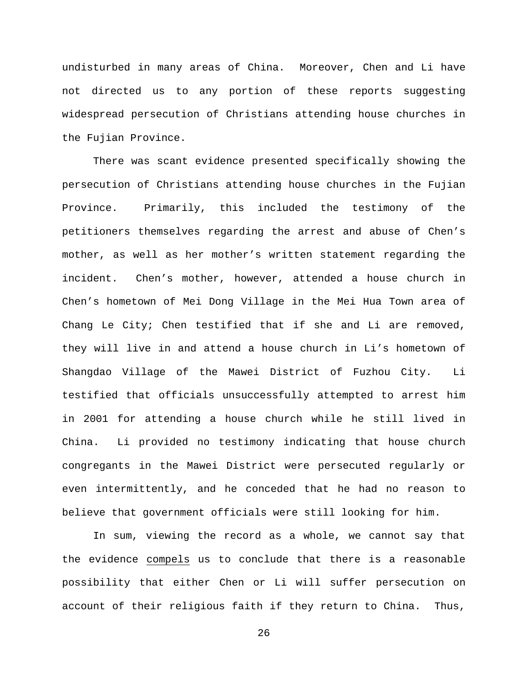undisturbed in many areas of China. Moreover, Chen and Li have not directed us to any portion of these reports suggesting widespread persecution of Christians attending house churches in the Fujian Province.

There was scant evidence presented specifically showing the persecution of Christians attending house churches in the Fujian Province. Primarily, this included the testimony of the petitioners themselves regarding the arrest and abuse of Chen's mother, as well as her mother's written statement regarding the incident. Chen's mother, however, attended a house church in Chen's hometown of Mei Dong Village in the Mei Hua Town area of Chang Le City; Chen testified that if she and Li are removed, they will live in and attend a house church in Li's hometown of Shangdao Village of the Mawei District of Fuzhou City. Li testified that officials unsuccessfully attempted to arrest him in 2001 for attending a house church while he still lived in China. Li provided no testimony indicating that house church congregants in the Mawei District were persecuted regularly or even intermittently, and he conceded that he had no reason to believe that government officials were still looking for him.

In sum, viewing the record as a whole, we cannot say that the evidence compels us to conclude that there is a reasonable possibility that either Chen or Li will suffer persecution on account of their religious faith if they return to China. Thus,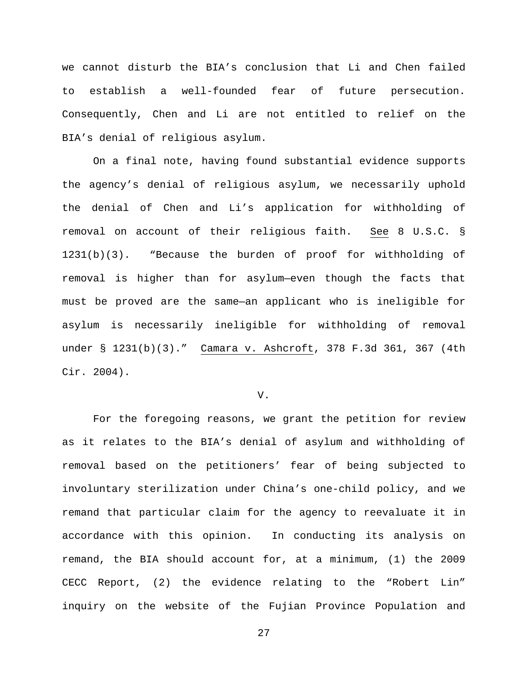we cannot disturb the BIA's conclusion that Li and Chen failed to establish a well-founded fear of future persecution. Consequently, Chen and Li are not entitled to relief on the BIA's denial of religious asylum.

On a final note, having found substantial evidence supports the agency's denial of religious asylum, we necessarily uphold the denial of Chen and Li's application for withholding of removal on account of their religious faith. See 8 U.S.C. § 1231(b)(3). "Because the burden of proof for withholding of removal is higher than for asylum—even though the facts that must be proved are the same—an applicant who is ineligible for asylum is necessarily ineligible for withholding of removal under § 1231(b)(3)." Camara v. Ashcroft, 378 F.3d 361, 367 (4th Cir. 2004).

V.

For the foregoing reasons, we grant the petition for review as it relates to the BIA's denial of asylum and withholding of removal based on the petitioners' fear of being subjected to involuntary sterilization under China's one-child policy, and we remand that particular claim for the agency to reevaluate it in accordance with this opinion. In conducting its analysis on remand, the BIA should account for, at a minimum, (1) the 2009 CECC Report, (2) the evidence relating to the "Robert Lin" inquiry on the website of the Fujian Province Population and